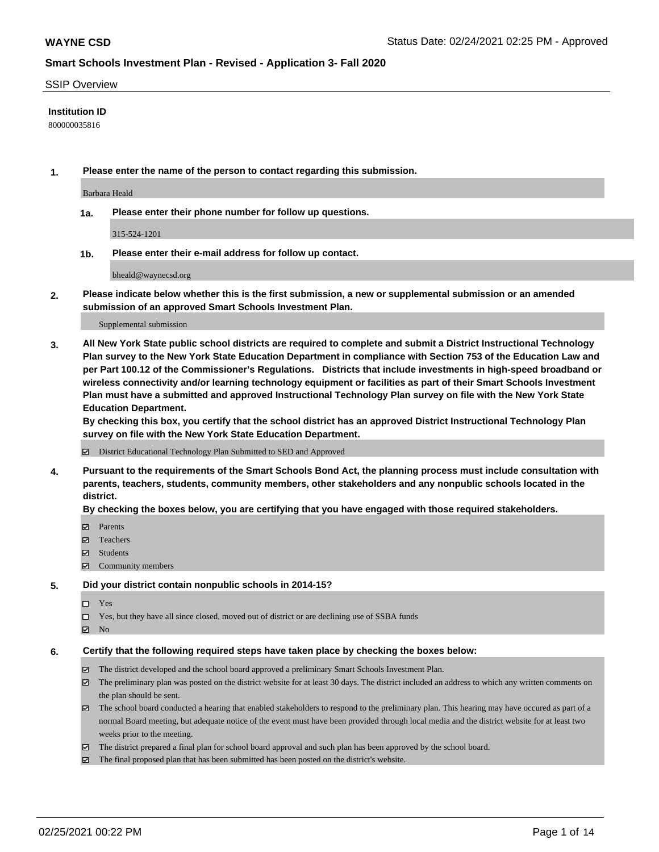#### SSIP Overview

### **Institution ID**

800000035816

**1. Please enter the name of the person to contact regarding this submission.**

Barbara Heald

**1a. Please enter their phone number for follow up questions.**

315-524-1201

**1b. Please enter their e-mail address for follow up contact.**

bheald@waynecsd.org

**2. Please indicate below whether this is the first submission, a new or supplemental submission or an amended submission of an approved Smart Schools Investment Plan.**

#### Supplemental submission

**3. All New York State public school districts are required to complete and submit a District Instructional Technology Plan survey to the New York State Education Department in compliance with Section 753 of the Education Law and per Part 100.12 of the Commissioner's Regulations. Districts that include investments in high-speed broadband or wireless connectivity and/or learning technology equipment or facilities as part of their Smart Schools Investment Plan must have a submitted and approved Instructional Technology Plan survey on file with the New York State Education Department.** 

**By checking this box, you certify that the school district has an approved District Instructional Technology Plan survey on file with the New York State Education Department.**

District Educational Technology Plan Submitted to SED and Approved

**4. Pursuant to the requirements of the Smart Schools Bond Act, the planning process must include consultation with parents, teachers, students, community members, other stakeholders and any nonpublic schools located in the district.** 

#### **By checking the boxes below, you are certifying that you have engaged with those required stakeholders.**

- **Ø** Parents
- Teachers
- Students
- Community members

#### **5. Did your district contain nonpublic schools in 2014-15?**

- □ Yes
- □ Yes, but they have all since closed, moved out of district or are declining use of SSBA funds
- **Ø** No

#### **6. Certify that the following required steps have taken place by checking the boxes below:**

- The district developed and the school board approved a preliminary Smart Schools Investment Plan.
- The preliminary plan was posted on the district website for at least 30 days. The district included an address to which any written comments on the plan should be sent.
- The school board conducted a hearing that enabled stakeholders to respond to the preliminary plan. This hearing may have occured as part of a normal Board meeting, but adequate notice of the event must have been provided through local media and the district website for at least two weeks prior to the meeting.
- The district prepared a final plan for school board approval and such plan has been approved by the school board.
- $\boxtimes$  The final proposed plan that has been submitted has been posted on the district's website.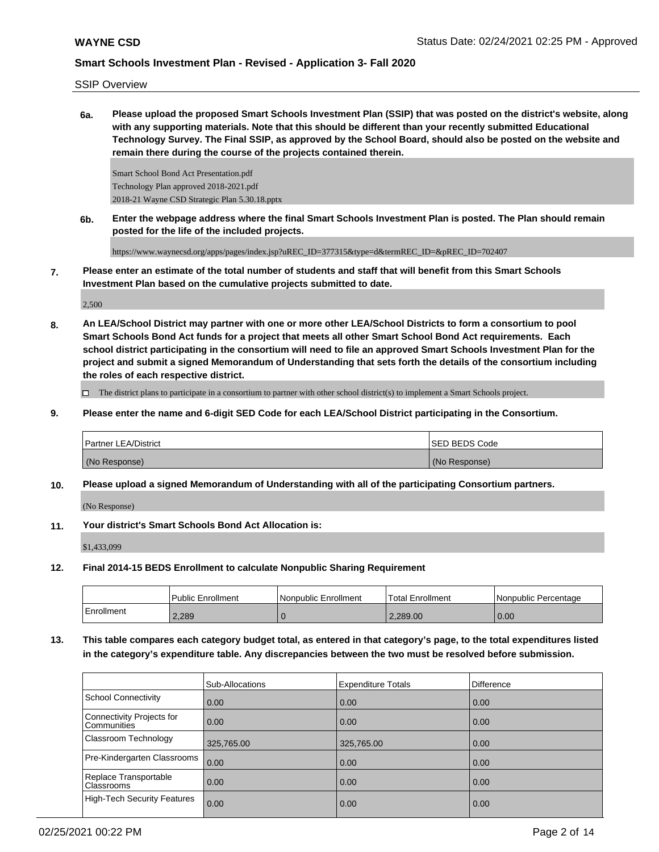SSIP Overview

**6a. Please upload the proposed Smart Schools Investment Plan (SSIP) that was posted on the district's website, along with any supporting materials. Note that this should be different than your recently submitted Educational Technology Survey. The Final SSIP, as approved by the School Board, should also be posted on the website and remain there during the course of the projects contained therein.**

Smart School Bond Act Presentation.pdf Technology Plan approved 2018-2021.pdf 2018-21 Wayne CSD Strategic Plan 5.30.18.pptx

**6b. Enter the webpage address where the final Smart Schools Investment Plan is posted. The Plan should remain posted for the life of the included projects.**

https://www.waynecsd.org/apps/pages/index.jsp?uREC\_ID=377315&type=d&termREC\_ID=&pREC\_ID=702407

**7. Please enter an estimate of the total number of students and staff that will benefit from this Smart Schools Investment Plan based on the cumulative projects submitted to date.**

2,500

**8. An LEA/School District may partner with one or more other LEA/School Districts to form a consortium to pool Smart Schools Bond Act funds for a project that meets all other Smart School Bond Act requirements. Each school district participating in the consortium will need to file an approved Smart Schools Investment Plan for the project and submit a signed Memorandum of Understanding that sets forth the details of the consortium including the roles of each respective district.**

 $\Box$  The district plans to participate in a consortium to partner with other school district(s) to implement a Smart Schools project.

**9. Please enter the name and 6-digit SED Code for each LEA/School District participating in the Consortium.**

| <b>Partner LEA/District</b> | <b>ISED BEDS Code</b> |
|-----------------------------|-----------------------|
| (No Response)               | (No Response)         |

**10. Please upload a signed Memorandum of Understanding with all of the participating Consortium partners.**

(No Response)

**11. Your district's Smart Schools Bond Act Allocation is:**

\$1,433,099

**12. Final 2014-15 BEDS Enrollment to calculate Nonpublic Sharing Requirement**

|            | l Public Enrollment | Nonpublic Enrollment | 'Total Enrollment | <b>INonpublic Percentage</b> |
|------------|---------------------|----------------------|-------------------|------------------------------|
| Enrollment | 2.289               |                      | 2.289.00          | 0.00                         |

**13. This table compares each category budget total, as entered in that category's page, to the total expenditures listed in the category's expenditure table. Any discrepancies between the two must be resolved before submission.**

|                                            | Sub-Allocations | <b>Expenditure Totals</b> | Difference |
|--------------------------------------------|-----------------|---------------------------|------------|
| School Connectivity                        | 0.00            | 0.00                      | 0.00       |
| Connectivity Projects for<br>Communities   | 0.00            | 0.00                      | 0.00       |
| <b>Classroom Technology</b>                | 325,765.00      | 325,765.00                | 0.00       |
| Pre-Kindergarten Classrooms                | 0.00            | 0.00                      | 0.00       |
| Replace Transportable<br><b>Classrooms</b> | 0.00            | 0.00                      | 0.00       |
| High-Tech Security Features                | 0.00            | 0.00                      | 0.00       |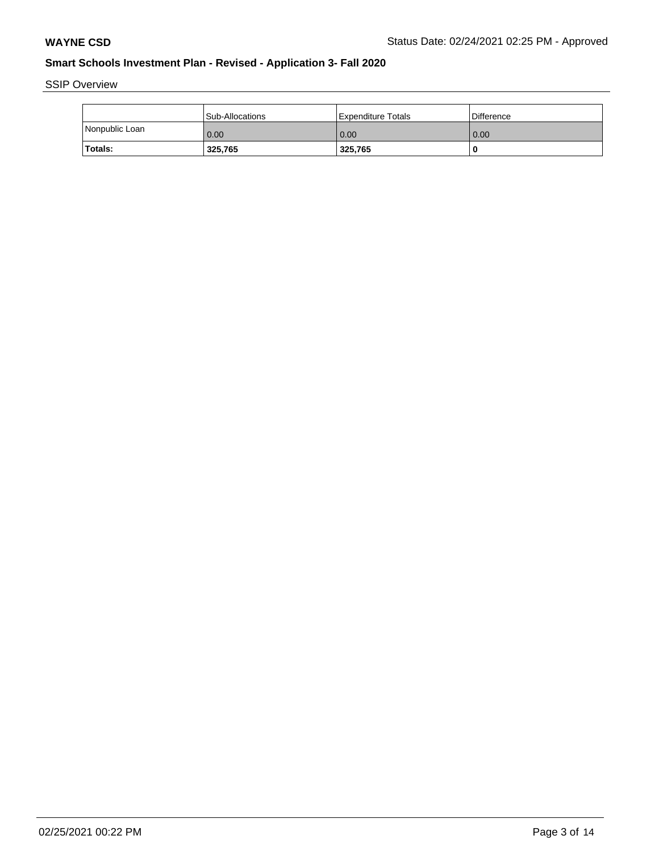SSIP Overview

|                | l Sub-Allocations | Expenditure Totals | Difference |
|----------------|-------------------|--------------------|------------|
| Nonpublic Loan | 0.00              | 0.00               | 0.00       |
| Totals:        | 325,765           | 325,765            |            |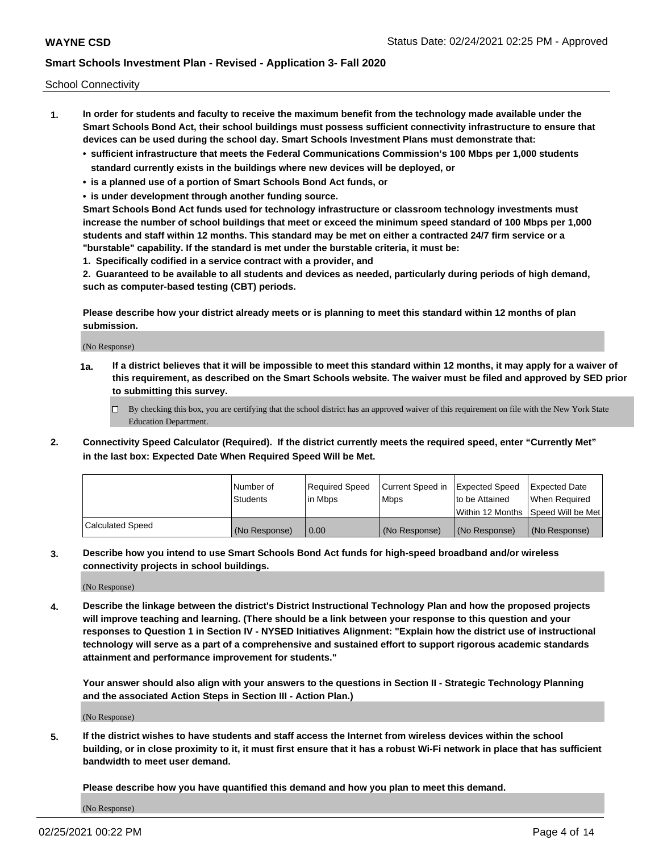School Connectivity

- **1. In order for students and faculty to receive the maximum benefit from the technology made available under the Smart Schools Bond Act, their school buildings must possess sufficient connectivity infrastructure to ensure that devices can be used during the school day. Smart Schools Investment Plans must demonstrate that:**
	- **• sufficient infrastructure that meets the Federal Communications Commission's 100 Mbps per 1,000 students standard currently exists in the buildings where new devices will be deployed, or**
	- **• is a planned use of a portion of Smart Schools Bond Act funds, or**
	- **• is under development through another funding source.**

**Smart Schools Bond Act funds used for technology infrastructure or classroom technology investments must increase the number of school buildings that meet or exceed the minimum speed standard of 100 Mbps per 1,000 students and staff within 12 months. This standard may be met on either a contracted 24/7 firm service or a "burstable" capability. If the standard is met under the burstable criteria, it must be:**

**1. Specifically codified in a service contract with a provider, and**

**2. Guaranteed to be available to all students and devices as needed, particularly during periods of high demand, such as computer-based testing (CBT) periods.**

**Please describe how your district already meets or is planning to meet this standard within 12 months of plan submission.**

(No Response)

**1a. If a district believes that it will be impossible to meet this standard within 12 months, it may apply for a waiver of this requirement, as described on the Smart Schools website. The waiver must be filed and approved by SED prior to submitting this survey.**

 $\Box$  By checking this box, you are certifying that the school district has an approved waiver of this requirement on file with the New York State Education Department.

**2. Connectivity Speed Calculator (Required). If the district currently meets the required speed, enter "Currently Met" in the last box: Expected Date When Required Speed Will be Met.**

|                  | l Number of     | Required Speed | Current Speed in | Expected Speed  | Expected Date                           |
|------------------|-----------------|----------------|------------------|-----------------|-----------------------------------------|
|                  | <b>Students</b> | In Mbps        | l Mbps           | to be Attained  | When Required                           |
|                  |                 |                |                  |                 | l Within 12 Months ISpeed Will be Met l |
| Calculated Speed | (No Response)   | 0.00           | (No Response)    | l (No Response) | l (No Response)                         |

**3. Describe how you intend to use Smart Schools Bond Act funds for high-speed broadband and/or wireless connectivity projects in school buildings.**

(No Response)

**4. Describe the linkage between the district's District Instructional Technology Plan and how the proposed projects will improve teaching and learning. (There should be a link between your response to this question and your responses to Question 1 in Section IV - NYSED Initiatives Alignment: "Explain how the district use of instructional technology will serve as a part of a comprehensive and sustained effort to support rigorous academic standards attainment and performance improvement for students."** 

**Your answer should also align with your answers to the questions in Section II - Strategic Technology Planning and the associated Action Steps in Section III - Action Plan.)**

(No Response)

**5. If the district wishes to have students and staff access the Internet from wireless devices within the school building, or in close proximity to it, it must first ensure that it has a robust Wi-Fi network in place that has sufficient bandwidth to meet user demand.**

**Please describe how you have quantified this demand and how you plan to meet this demand.**

(No Response)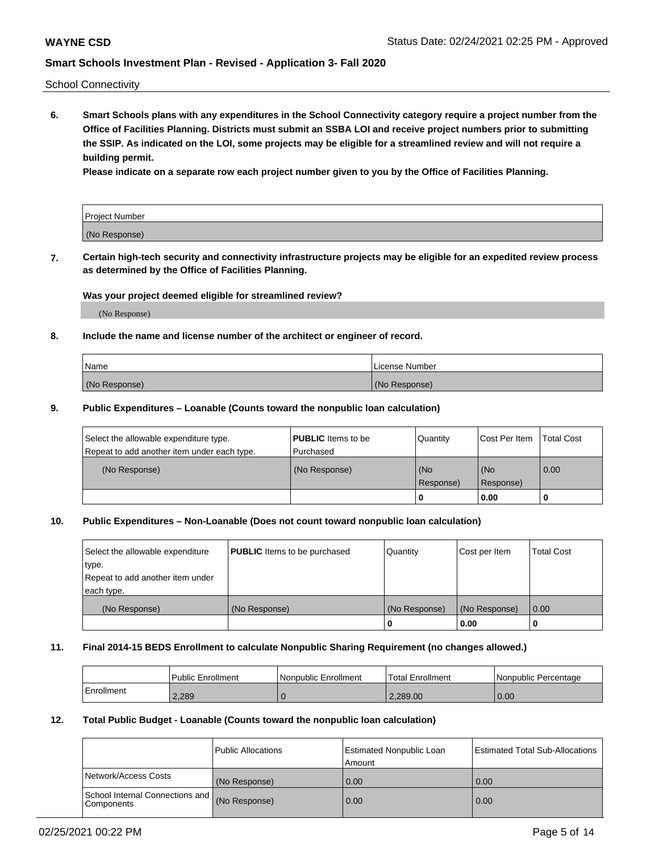School Connectivity

**6. Smart Schools plans with any expenditures in the School Connectivity category require a project number from the Office of Facilities Planning. Districts must submit an SSBA LOI and receive project numbers prior to submitting the SSIP. As indicated on the LOI, some projects may be eligible for a streamlined review and will not require a building permit.**

**Please indicate on a separate row each project number given to you by the Office of Facilities Planning.**

| Project Number |  |
|----------------|--|
| (No Response)  |  |

**7. Certain high-tech security and connectivity infrastructure projects may be eligible for an expedited review process as determined by the Office of Facilities Planning.**

#### **Was your project deemed eligible for streamlined review?**

(No Response)

### **8. Include the name and license number of the architect or engineer of record.**

| Name          | License Number |
|---------------|----------------|
| (No Response) | (No Response)  |

#### **9. Public Expenditures – Loanable (Counts toward the nonpublic loan calculation)**

| Select the allowable expenditure type.<br>Repeat to add another item under each type. | <b>PUBLIC</b> Items to be<br>l Purchased | Quantity         | l Cost Per Item  | <b>Total Cost</b> |
|---------------------------------------------------------------------------------------|------------------------------------------|------------------|------------------|-------------------|
| (No Response)                                                                         | (No Response)                            | (No<br>Response) | (No<br>Response) | 0.00              |
|                                                                                       |                                          | 0                | 0.00             |                   |

### **10. Public Expenditures – Non-Loanable (Does not count toward nonpublic loan calculation)**

| Select the allowable expenditure<br>type.<br>Repeat to add another item under<br>each type. | <b>PUBLIC</b> Items to be purchased | Quantity      | Cost per Item | <b>Total Cost</b> |
|---------------------------------------------------------------------------------------------|-------------------------------------|---------------|---------------|-------------------|
| (No Response)                                                                               | (No Response)                       | (No Response) | (No Response) | 0.00              |
|                                                                                             |                                     |               | 0.00          |                   |

#### **11. Final 2014-15 BEDS Enrollment to calculate Nonpublic Sharing Requirement (no changes allowed.)**

|            | Public Enrollment | <b>Nonpublic Enrollment</b> | Total Enrollment | l Nonpublic Percentage |
|------------|-------------------|-----------------------------|------------------|------------------------|
| Enrollment | 2.289             |                             | 2.289.00         | 0.00                   |

#### **12. Total Public Budget - Loanable (Counts toward the nonpublic loan calculation)**

|                                               | Public Allocations | <b>Estimated Nonpublic Loan</b><br>Amount | Estimated Total Sub-Allocations |
|-----------------------------------------------|--------------------|-------------------------------------------|---------------------------------|
| Network/Access Costs                          | (No Response)      | 0.00                                      | 0.00                            |
| School Internal Connections and<br>Components | (No Response)      | 0.00                                      | 0.00                            |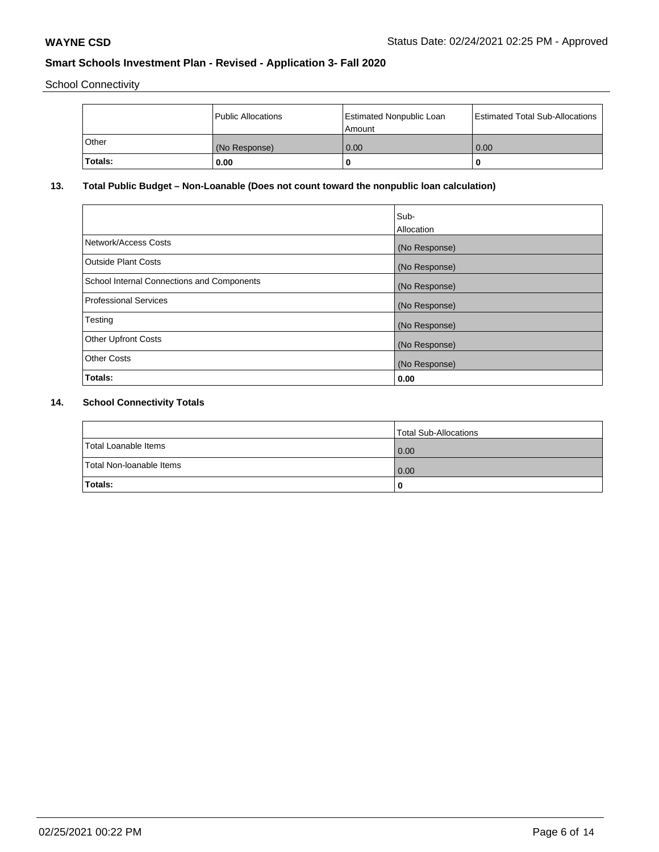School Connectivity

|         | Public Allocations | <b>Estimated Nonpublic Loan</b><br>l Amount | <b>Estimated Total Sub-Allocations</b> |
|---------|--------------------|---------------------------------------------|----------------------------------------|
| l Other | (No Response)      | 0.00                                        | 0.00                                   |
| Totals: | 0.00               | 0                                           |                                        |

# **13. Total Public Budget – Non-Loanable (Does not count toward the nonpublic loan calculation)**

| Sub-<br>Allocation |
|--------------------|
| (No Response)      |
| (No Response)      |
| (No Response)      |
| (No Response)      |
| (No Response)      |
| (No Response)      |
| (No Response)      |
| 0.00               |
|                    |

# **14. School Connectivity Totals**

|                          | Total Sub-Allocations |
|--------------------------|-----------------------|
| Total Loanable Items     | 0.00                  |
| Total Non-Ioanable Items | 0.00                  |
| Totals:                  | 0                     |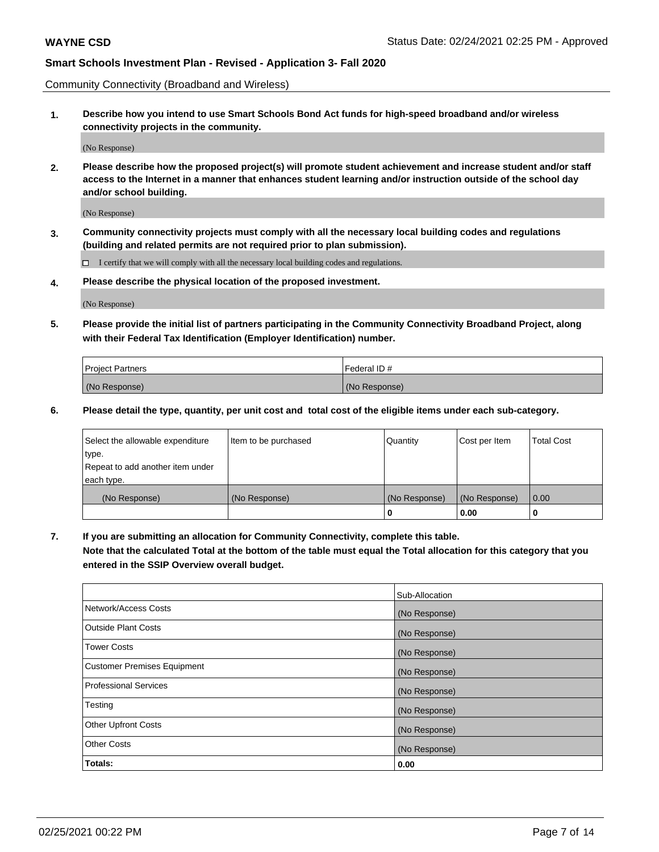Community Connectivity (Broadband and Wireless)

**1. Describe how you intend to use Smart Schools Bond Act funds for high-speed broadband and/or wireless connectivity projects in the community.**

(No Response)

**2. Please describe how the proposed project(s) will promote student achievement and increase student and/or staff access to the Internet in a manner that enhances student learning and/or instruction outside of the school day and/or school building.**

(No Response)

**3. Community connectivity projects must comply with all the necessary local building codes and regulations (building and related permits are not required prior to plan submission).**

 $\Box$  I certify that we will comply with all the necessary local building codes and regulations.

**4. Please describe the physical location of the proposed investment.**

(No Response)

**5. Please provide the initial list of partners participating in the Community Connectivity Broadband Project, along with their Federal Tax Identification (Employer Identification) number.**

| <b>Project Partners</b> | l Federal ID # |
|-------------------------|----------------|
| (No Response)           | (No Response)  |

**6. Please detail the type, quantity, per unit cost and total cost of the eligible items under each sub-category.**

| Select the allowable expenditure | Item to be purchased | Quantity      | Cost per Item | <b>Total Cost</b> |
|----------------------------------|----------------------|---------------|---------------|-------------------|
| type.                            |                      |               |               |                   |
| Repeat to add another item under |                      |               |               |                   |
| each type.                       |                      |               |               |                   |
| (No Response)                    | (No Response)        | (No Response) | (No Response) | 0.00              |
|                                  |                      | o             | 0.00          |                   |

**7. If you are submitting an allocation for Community Connectivity, complete this table.**

**Note that the calculated Total at the bottom of the table must equal the Total allocation for this category that you entered in the SSIP Overview overall budget.**

|                                    | Sub-Allocation |
|------------------------------------|----------------|
| Network/Access Costs               | (No Response)  |
| Outside Plant Costs                | (No Response)  |
| <b>Tower Costs</b>                 | (No Response)  |
| <b>Customer Premises Equipment</b> | (No Response)  |
| <b>Professional Services</b>       | (No Response)  |
| Testing                            | (No Response)  |
| <b>Other Upfront Costs</b>         | (No Response)  |
| <b>Other Costs</b>                 | (No Response)  |
| Totals:                            | 0.00           |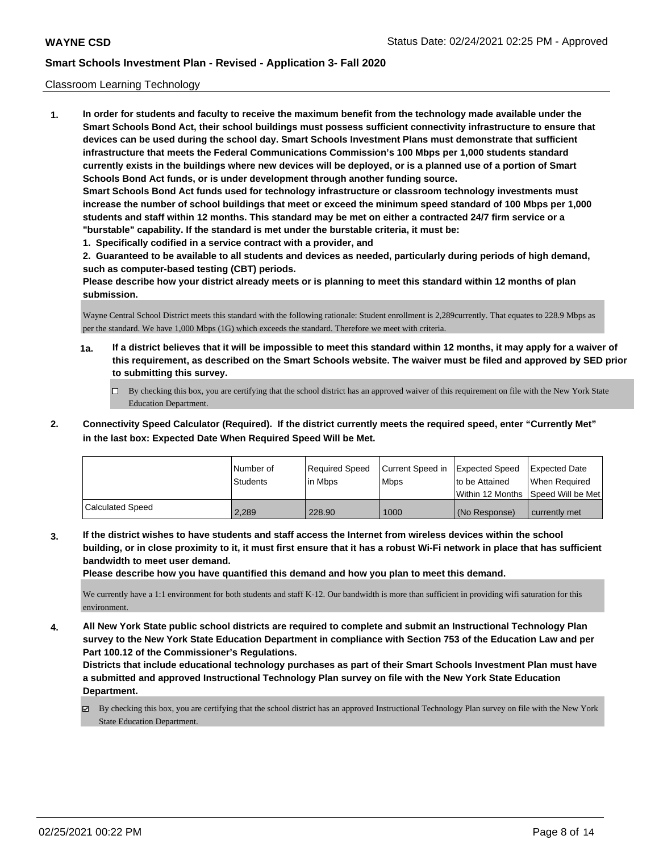#### Classroom Learning Technology

**1. In order for students and faculty to receive the maximum benefit from the technology made available under the Smart Schools Bond Act, their school buildings must possess sufficient connectivity infrastructure to ensure that devices can be used during the school day. Smart Schools Investment Plans must demonstrate that sufficient infrastructure that meets the Federal Communications Commission's 100 Mbps per 1,000 students standard currently exists in the buildings where new devices will be deployed, or is a planned use of a portion of Smart Schools Bond Act funds, or is under development through another funding source. Smart Schools Bond Act funds used for technology infrastructure or classroom technology investments must increase the number of school buildings that meet or exceed the minimum speed standard of 100 Mbps per 1,000 students and staff within 12 months. This standard may be met on either a contracted 24/7 firm service or a "burstable" capability. If the standard is met under the burstable criteria, it must be:**

**1. Specifically codified in a service contract with a provider, and**

**2. Guaranteed to be available to all students and devices as needed, particularly during periods of high demand, such as computer-based testing (CBT) periods.**

**Please describe how your district already meets or is planning to meet this standard within 12 months of plan submission.**

Wayne Central School District meets this standard with the following rationale: Student enrollment is 2,289currently. That equates to 228.9 Mbps as per the standard. We have 1,000 Mbps (1G) which exceeds the standard. Therefore we meet with criteria.

- **1a. If a district believes that it will be impossible to meet this standard within 12 months, it may apply for a waiver of this requirement, as described on the Smart Schools website. The waiver must be filed and approved by SED prior to submitting this survey.**
	- By checking this box, you are certifying that the school district has an approved waiver of this requirement on file with the New York State Education Department.
- **2. Connectivity Speed Calculator (Required). If the district currently meets the required speed, enter "Currently Met" in the last box: Expected Date When Required Speed Will be Met.**

|                  | l Number of<br><b>Students</b> | Required Speed<br>l in Mbps | Current Speed in Expected Speed<br><b>Mbps</b> | to be Attained  | Expected Date<br>When Required<br> Within 12 Months  Speed Will be Met |
|------------------|--------------------------------|-----------------------------|------------------------------------------------|-----------------|------------------------------------------------------------------------|
| Calculated Speed | 2.289                          | 228.90                      | 1000                                           | l (No Response) | currently met                                                          |

**3. If the district wishes to have students and staff access the Internet from wireless devices within the school building, or in close proximity to it, it must first ensure that it has a robust Wi-Fi network in place that has sufficient bandwidth to meet user demand.**

**Please describe how you have quantified this demand and how you plan to meet this demand.**

We currently have a 1:1 environment for both students and staff K-12. Our bandwidth is more than sufficient in providing wifi saturation for this environment.

**4. All New York State public school districts are required to complete and submit an Instructional Technology Plan survey to the New York State Education Department in compliance with Section 753 of the Education Law and per Part 100.12 of the Commissioner's Regulations.**

**Districts that include educational technology purchases as part of their Smart Schools Investment Plan must have a submitted and approved Instructional Technology Plan survey on file with the New York State Education Department.**

By checking this box, you are certifying that the school district has an approved Instructional Technology Plan survey on file with the New York State Education Department.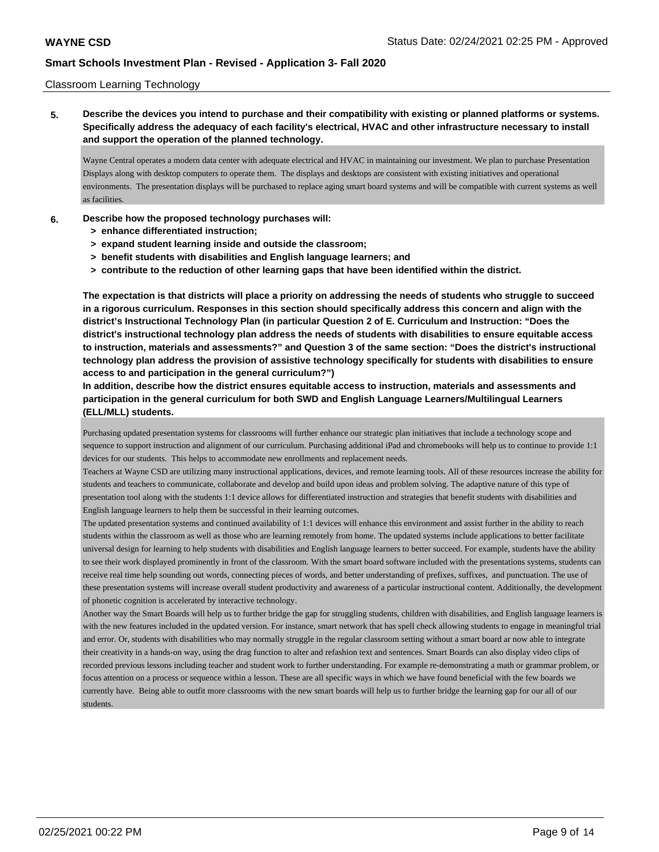#### Classroom Learning Technology

**5. Describe the devices you intend to purchase and their compatibility with existing or planned platforms or systems. Specifically address the adequacy of each facility's electrical, HVAC and other infrastructure necessary to install and support the operation of the planned technology.**

Wayne Central operates a modern data center with adequate electrical and HVAC in maintaining our investment. We plan to purchase Presentation Displays along with desktop computers to operate them. The displays and desktops are consistent with existing initiatives and operational environments. The presentation displays will be purchased to replace aging smart board systems and will be compatible with current systems as well as facilities.

- **6. Describe how the proposed technology purchases will:**
	- **> enhance differentiated instruction;**
	- **> expand student learning inside and outside the classroom;**
	- **> benefit students with disabilities and English language learners; and**
	- **> contribute to the reduction of other learning gaps that have been identified within the district.**

**The expectation is that districts will place a priority on addressing the needs of students who struggle to succeed in a rigorous curriculum. Responses in this section should specifically address this concern and align with the district's Instructional Technology Plan (in particular Question 2 of E. Curriculum and Instruction: "Does the district's instructional technology plan address the needs of students with disabilities to ensure equitable access to instruction, materials and assessments?" and Question 3 of the same section: "Does the district's instructional technology plan address the provision of assistive technology specifically for students with disabilities to ensure access to and participation in the general curriculum?")**

**In addition, describe how the district ensures equitable access to instruction, materials and assessments and participation in the general curriculum for both SWD and English Language Learners/Multilingual Learners (ELL/MLL) students.**

Purchasing updated presentation systems for classrooms will further enhance our strategic plan initiatives that include a technology scope and sequence to support instruction and alignment of our curriculum. Purchasing additional iPad and chromebooks will help us to continue to provide 1:1 devices for our students. This helps to accommodate new enrollments and replacement needs.

Teachers at Wayne CSD are utilizing many instructional applications, devices, and remote learning tools. All of these resources increase the ability for students and teachers to communicate, collaborate and develop and build upon ideas and problem solving. The adaptive nature of this type of presentation tool along with the students 1:1 device allows for differentiated instruction and strategies that benefit students with disabilities and English language learners to help them be successful in their learning outcomes.

The updated presentation systems and continued availability of 1:1 devices will enhance this environment and assist further in the ability to reach students within the classroom as well as those who are learning remotely from home. The updated systems include applications to better facilitate universal design for learning to help students with disabilities and English language learners to better succeed. For example, students have the ability to see their work displayed prominently in front of the classroom. With the smart board software included with the presentations systems, students can receive real time help sounding out words, connecting pieces of words, and better understanding of prefixes, suffixes, and punctuation. The use of these presentation systems will increase overall student productivity and awareness of a particular instructional content. Additionally, the development of phonetic cognition is accelerated by interactive technology.

Another way the Smart Boards will help us to further bridge the gap for struggling students, children with disabilities, and English language learners is with the new features included in the updated version. For instance, smart network that has spell check allowing students to engage in meaningful trial and error. Or, students with disabilities who may normally struggle in the regular classroom setting without a smart board ar now able to integrate their creativity in a hands-on way, using the drag function to alter and refashion text and sentences. Smart Boards can also display video clips of recorded previous lessons including teacher and student work to further understanding. For example re-demonstrating a math or grammar problem, or focus attention on a process or sequence within a lesson. These are all specific ways in which we have found beneficial with the few boards we currently have. Being able to outfit more classrooms with the new smart boards will help us to further bridge the learning gap for our all of our students.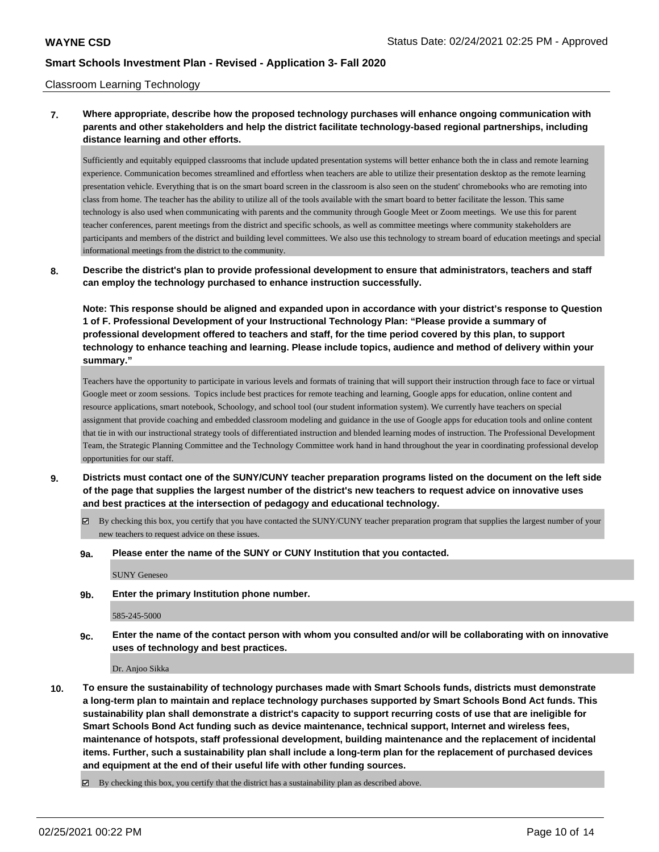#### Classroom Learning Technology

## **7. Where appropriate, describe how the proposed technology purchases will enhance ongoing communication with parents and other stakeholders and help the district facilitate technology-based regional partnerships, including distance learning and other efforts.**

Sufficiently and equitably equipped classrooms that include updated presentation systems will better enhance both the in class and remote learning experience. Communication becomes streamlined and effortless when teachers are able to utilize their presentation desktop as the remote learning presentation vehicle. Everything that is on the smart board screen in the classroom is also seen on the student' chromebooks who are remoting into class from home. The teacher has the ability to utilize all of the tools available with the smart board to better facilitate the lesson. This same technology is also used when communicating with parents and the community through Google Meet or Zoom meetings. We use this for parent teacher conferences, parent meetings from the district and specific schools, as well as committee meetings where community stakeholders are participants and members of the district and building level committees. We also use this technology to stream board of education meetings and special informational meetings from the district to the community.

### **8. Describe the district's plan to provide professional development to ensure that administrators, teachers and staff can employ the technology purchased to enhance instruction successfully.**

**Note: This response should be aligned and expanded upon in accordance with your district's response to Question 1 of F. Professional Development of your Instructional Technology Plan: "Please provide a summary of professional development offered to teachers and staff, for the time period covered by this plan, to support technology to enhance teaching and learning. Please include topics, audience and method of delivery within your summary."**

Teachers have the opportunity to participate in various levels and formats of training that will support their instruction through face to face or virtual Google meet or zoom sessions. Topics include best practices for remote teaching and learning, Google apps for education, online content and resource applications, smart notebook, Schoology, and school tool (our student information system). We currently have teachers on special assignment that provide coaching and embedded classroom modeling and guidance in the use of Google apps for education tools and online content that tie in with our instructional strategy tools of differentiated instruction and blended learning modes of instruction. The Professional Development Team, the Strategic Planning Committee and the Technology Committee work hand in hand throughout the year in coordinating professional develop opportunities for our staff.

- **9. Districts must contact one of the SUNY/CUNY teacher preparation programs listed on the document on the left side of the page that supplies the largest number of the district's new teachers to request advice on innovative uses and best practices at the intersection of pedagogy and educational technology.**
	- By checking this box, you certify that you have contacted the SUNY/CUNY teacher preparation program that supplies the largest number of your new teachers to request advice on these issues.
	- **9a. Please enter the name of the SUNY or CUNY Institution that you contacted.**

SUNY Geneseo

**9b. Enter the primary Institution phone number.**

585-245-5000

**9c. Enter the name of the contact person with whom you consulted and/or will be collaborating with on innovative uses of technology and best practices.**

Dr. Anjoo Sikka

**10. To ensure the sustainability of technology purchases made with Smart Schools funds, districts must demonstrate a long-term plan to maintain and replace technology purchases supported by Smart Schools Bond Act funds. This sustainability plan shall demonstrate a district's capacity to support recurring costs of use that are ineligible for Smart Schools Bond Act funding such as device maintenance, technical support, Internet and wireless fees, maintenance of hotspots, staff professional development, building maintenance and the replacement of incidental items. Further, such a sustainability plan shall include a long-term plan for the replacement of purchased devices and equipment at the end of their useful life with other funding sources.**

By checking this box, you certify that the district has a sustainability plan as described above.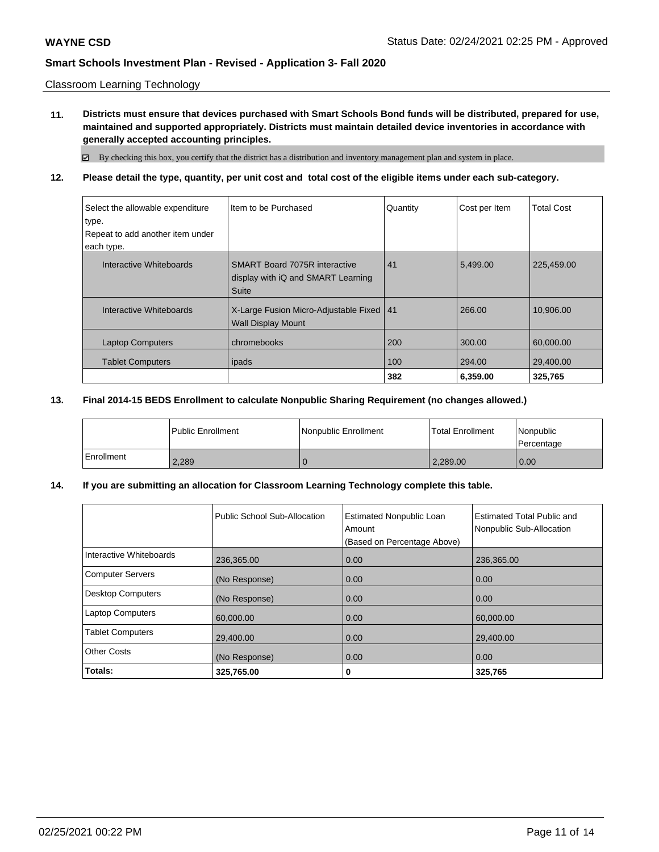#### Classroom Learning Technology

**11. Districts must ensure that devices purchased with Smart Schools Bond funds will be distributed, prepared for use, maintained and supported appropriately. Districts must maintain detailed device inventories in accordance with generally accepted accounting principles.**

By checking this box, you certify that the district has a distribution and inventory management plan and system in place.

**12. Please detail the type, quantity, per unit cost and total cost of the eligible items under each sub-category.**

| Select the allowable expenditure | Item to be Purchased                                                                | Quantity | Cost per Item | <b>Total Cost</b> |
|----------------------------------|-------------------------------------------------------------------------------------|----------|---------------|-------------------|
| type.                            |                                                                                     |          |               |                   |
| Repeat to add another item under |                                                                                     |          |               |                   |
| each type.                       |                                                                                     |          |               |                   |
| Interactive Whiteboards          | <b>SMART Board 7075R interactive</b><br>display with iQ and SMART Learning<br>Suite | 41       | 5.499.00      | 225,459.00        |
| Interactive Whiteboards          | X-Large Fusion Micro-Adjustable Fixed   41<br><b>Wall Display Mount</b>             |          | 266.00        | 10.906.00         |
| <b>Laptop Computers</b>          | chromebooks                                                                         | 200      | 300.00        | 60.000.00         |
| <b>Tablet Computers</b>          | ipads                                                                               | 100      | 294.00        | 29,400.00         |
|                                  |                                                                                     | 382      | 6,359.00      | 325,765           |

### **13. Final 2014-15 BEDS Enrollment to calculate Nonpublic Sharing Requirement (no changes allowed.)**

|            | <b>Public Enrollment</b> | Nonpublic Enrollment | <b>Total Enrollment</b> | Nonpublic<br>Percentage |
|------------|--------------------------|----------------------|-------------------------|-------------------------|
| Enrollment | 2,289                    |                      | 2.289.00                | 0.00                    |

### **14. If you are submitting an allocation for Classroom Learning Technology complete this table.**

|                          | Public School Sub-Allocation | <b>Estimated Nonpublic Loan</b><br>Amount<br>(Based on Percentage Above) | <b>Estimated Total Public and</b><br>Nonpublic Sub-Allocation |
|--------------------------|------------------------------|--------------------------------------------------------------------------|---------------------------------------------------------------|
| Interactive Whiteboards  | 236,365.00                   | 0.00                                                                     | 236,365.00                                                    |
| <b>Computer Servers</b>  | (No Response)                | 0.00                                                                     | 0.00                                                          |
| <b>Desktop Computers</b> | (No Response)                | 0.00                                                                     | 0.00                                                          |
| <b>Laptop Computers</b>  | 60,000.00                    | 0.00                                                                     | 60,000.00                                                     |
| <b>Tablet Computers</b>  | 29,400.00                    | 0.00                                                                     | 29,400.00                                                     |
| <b>Other Costs</b>       | (No Response)                | 0.00                                                                     | 0.00                                                          |
| Totals:                  | 325,765.00                   | 0                                                                        | 325,765                                                       |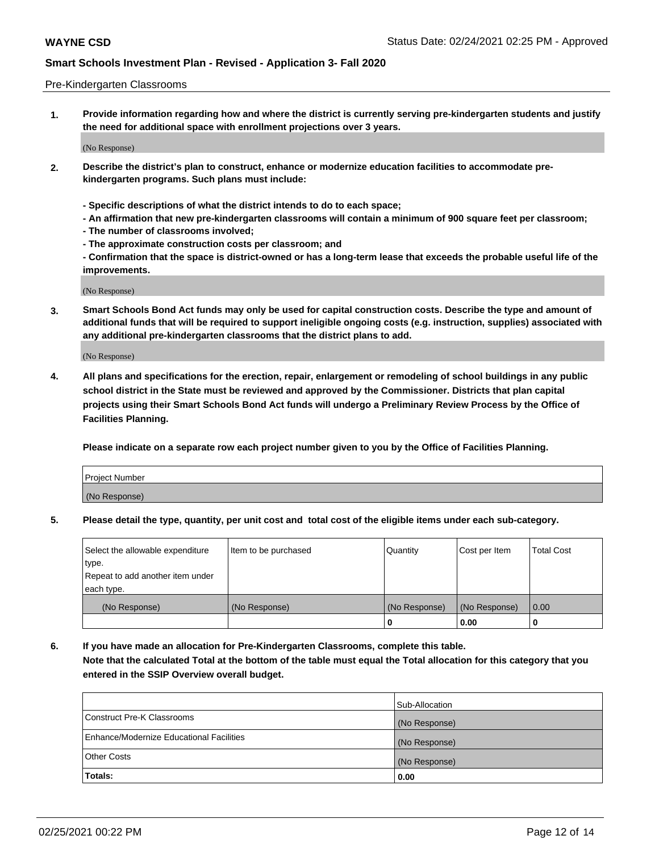#### Pre-Kindergarten Classrooms

**1. Provide information regarding how and where the district is currently serving pre-kindergarten students and justify the need for additional space with enrollment projections over 3 years.**

(No Response)

- **2. Describe the district's plan to construct, enhance or modernize education facilities to accommodate prekindergarten programs. Such plans must include:**
	- **Specific descriptions of what the district intends to do to each space;**
	- **An affirmation that new pre-kindergarten classrooms will contain a minimum of 900 square feet per classroom;**
	- **The number of classrooms involved;**
	- **The approximate construction costs per classroom; and**
	- **Confirmation that the space is district-owned or has a long-term lease that exceeds the probable useful life of the improvements.**

(No Response)

**3. Smart Schools Bond Act funds may only be used for capital construction costs. Describe the type and amount of additional funds that will be required to support ineligible ongoing costs (e.g. instruction, supplies) associated with any additional pre-kindergarten classrooms that the district plans to add.**

(No Response)

**4. All plans and specifications for the erection, repair, enlargement or remodeling of school buildings in any public school district in the State must be reviewed and approved by the Commissioner. Districts that plan capital projects using their Smart Schools Bond Act funds will undergo a Preliminary Review Process by the Office of Facilities Planning.**

**Please indicate on a separate row each project number given to you by the Office of Facilities Planning.**

| Project Number |  |
|----------------|--|
| (No Response)  |  |
|                |  |

**5. Please detail the type, quantity, per unit cost and total cost of the eligible items under each sub-category.**

| Select the allowable expenditure | Item to be purchased | Quantity      | Cost per Item | <b>Total Cost</b> |
|----------------------------------|----------------------|---------------|---------------|-------------------|
| type.                            |                      |               |               |                   |
| Repeat to add another item under |                      |               |               |                   |
| each type.                       |                      |               |               |                   |
| (No Response)                    | (No Response)        | (No Response) | (No Response) | 0.00              |
|                                  |                      | υ             | 0.00          |                   |

**6. If you have made an allocation for Pre-Kindergarten Classrooms, complete this table. Note that the calculated Total at the bottom of the table must equal the Total allocation for this category that you entered in the SSIP Overview overall budget.**

|                                          | Sub-Allocation |
|------------------------------------------|----------------|
| Construct Pre-K Classrooms               | (No Response)  |
| Enhance/Modernize Educational Facilities | (No Response)  |
| <b>Other Costs</b>                       | (No Response)  |
| Totals:                                  | 0.00           |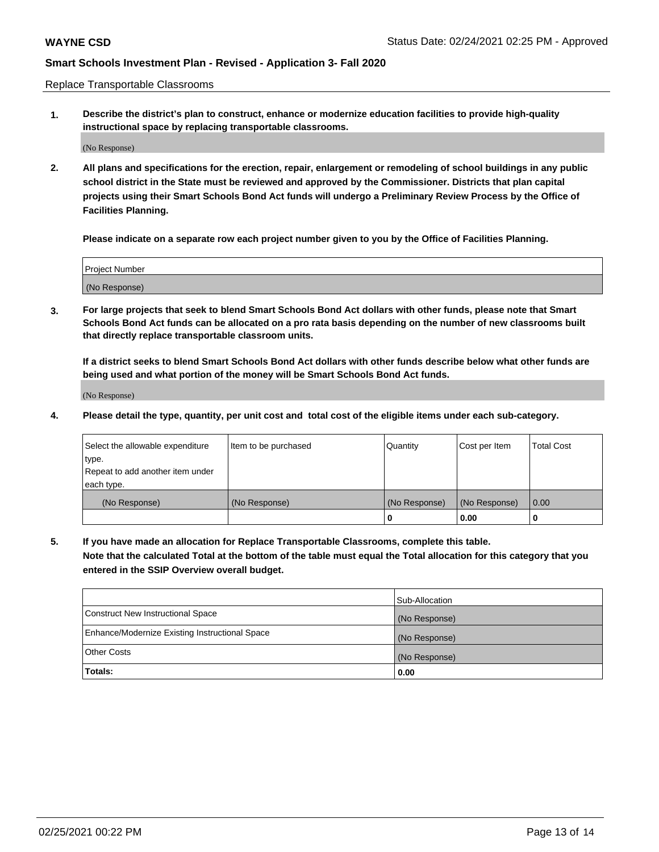Replace Transportable Classrooms

**1. Describe the district's plan to construct, enhance or modernize education facilities to provide high-quality instructional space by replacing transportable classrooms.**

(No Response)

**2. All plans and specifications for the erection, repair, enlargement or remodeling of school buildings in any public school district in the State must be reviewed and approved by the Commissioner. Districts that plan capital projects using their Smart Schools Bond Act funds will undergo a Preliminary Review Process by the Office of Facilities Planning.**

**Please indicate on a separate row each project number given to you by the Office of Facilities Planning.**

| Project Number |  |
|----------------|--|
|                |  |
|                |  |
|                |  |
|                |  |
| (No Response)  |  |
|                |  |
|                |  |
|                |  |

**3. For large projects that seek to blend Smart Schools Bond Act dollars with other funds, please note that Smart Schools Bond Act funds can be allocated on a pro rata basis depending on the number of new classrooms built that directly replace transportable classroom units.**

**If a district seeks to blend Smart Schools Bond Act dollars with other funds describe below what other funds are being used and what portion of the money will be Smart Schools Bond Act funds.**

(No Response)

**4. Please detail the type, quantity, per unit cost and total cost of the eligible items under each sub-category.**

| Select the allowable expenditure | Item to be purchased | Quantity      | Cost per Item | Total Cost |
|----------------------------------|----------------------|---------------|---------------|------------|
| ∣type.                           |                      |               |               |            |
| Repeat to add another item under |                      |               |               |            |
| each type.                       |                      |               |               |            |
| (No Response)                    | (No Response)        | (No Response) | (No Response) | 0.00       |
|                                  |                      | u             | 0.00          |            |

**5. If you have made an allocation for Replace Transportable Classrooms, complete this table. Note that the calculated Total at the bottom of the table must equal the Total allocation for this category that you entered in the SSIP Overview overall budget.**

|                                                | Sub-Allocation |
|------------------------------------------------|----------------|
| Construct New Instructional Space              | (No Response)  |
| Enhance/Modernize Existing Instructional Space | (No Response)  |
| Other Costs                                    | (No Response)  |
| Totals:                                        | 0.00           |